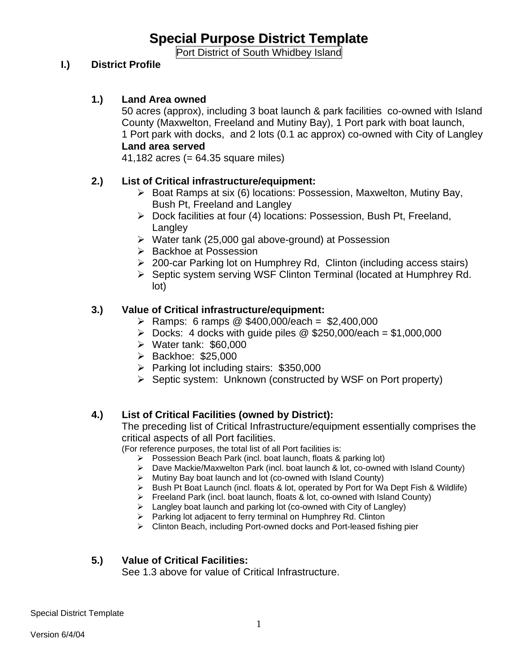# **Special Purpose District Template**

Port District of South Whidbey Island

#### **I.) District Profile**

#### **1.) Land Area owned**

50 acres (approx), including 3 boat launch & park facilities co-owned with Island County (Maxwelton, Freeland and Mutiny Bay), 1 Port park with boat launch, 1 Port park with docks, and 2 lots (0.1 ac approx) co-owned with City of Langley

## **Land area served**

41,182 acres (= 64.35 square miles)

#### **2.) List of Critical infrastructure/equipment:**

- ¾ Boat Ramps at six (6) locations: Possession, Maxwelton, Mutiny Bay, Bush Pt, Freeland and Langley
- ¾ Dock facilities at four (4) locations: Possession, Bush Pt, Freeland, **Langley**
- ¾ Water tank (25,000 gal above-ground) at Possession
- ¾ Backhoe at Possession
- ¾ 200-car Parking lot on Humphrey Rd, Clinton (including access stairs)
- ¾ Septic system serving WSF Clinton Terminal (located at Humphrey Rd. lot)

#### **3.) Value of Critical infrastructure/equipment:**

- ¾ Ramps: 6 ramps @ \$400,000/each = \$2,400,000
- $\triangleright$  Docks: 4 docks with quide piles @ \$250,000/each = \$1,000,000
- ¾ Water tank: \$60,000
- ¾ Backhoe: \$25,000
- ¾ Parking lot including stairs: \$350,000
- ¾ Septic system: Unknown (constructed by WSF on Port property)

# **4.) List of Critical Facilities (owned by District):**

The preceding list of Critical Infrastructure/equipment essentially comprises the critical aspects of all Port facilities.

(For reference purposes, the total list of all Port facilities is:

- ¾ Possession Beach Park (incl. boat launch, floats & parking lot)
- ¾ Dave Mackie/Maxwelton Park (incl. boat launch & lot, co-owned with Island County)
- ¾ Mutiny Bay boat launch and lot (co-owned with Island County)
- ¾ Bush Pt Boat Launch (incl. floats & lot, operated by Port for Wa Dept Fish & Wildlife)
- ¾ Freeland Park (incl. boat launch, floats & lot, co-owned with Island County)
- $\triangleright$  Langley boat launch and parking lot (co-owned with City of Langley)
- ¾ Parking lot adjacent to ferry terminal on Humphrey Rd. Clinton
- ¾ Clinton Beach, including Port-owned docks and Port-leased fishing pier

#### **5.) Value of Critical Facilities:**

See 1.3 above for value of Critical Infrastructure.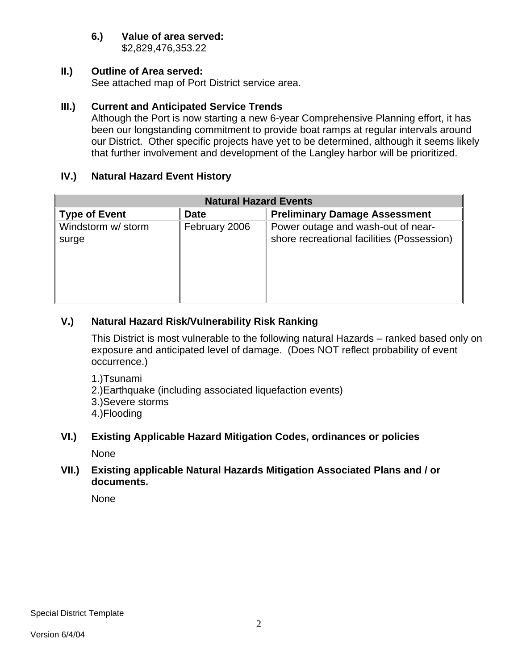## **6.) Value of area served:**

\$2,829,476,353.22

# **II.) Outline of Area served:**

See attached map of Port District service area.

#### **III.) Current and Anticipated Service Trends**

Although the Port is now starting a new 6-year Comprehensive Planning effort, it has been our longstanding commitment to provide boat ramps at regular intervals around our District. Other specific projects have yet to be determined, although it seems likely that further involvement and development of the Langley harbor will be prioritized.

# **IV.) Natural Hazard Event History**

| <b>Natural Hazard Events</b> |               |                                                                                  |  |  |  |  |  |  |
|------------------------------|---------------|----------------------------------------------------------------------------------|--|--|--|--|--|--|
| <b>Type of Event</b>         | <b>Date</b>   | <b>Preliminary Damage Assessment</b>                                             |  |  |  |  |  |  |
| Windstorm w/ storm<br>surge  | February 2006 | Power outage and wash-out of near-<br>shore recreational facilities (Possession) |  |  |  |  |  |  |

# **V.) Natural Hazard Risk/Vulnerability Risk Ranking**

This District is most vulnerable to the following natural Hazards – ranked based only on exposure and anticipated level of damage. (Does NOT reflect probability of event occurrence.)

- 1.)Tsunami
- 2.)Earthquake (including associated liquefaction events)
- 3.)Severe storms
- 4.)Flooding

# **VI.) Existing Applicable Hazard Mitigation Codes, ordinances or policies**  None

#### **VII.) Existing applicable Natural Hazards Mitigation Associated Plans and / or documents.**

None